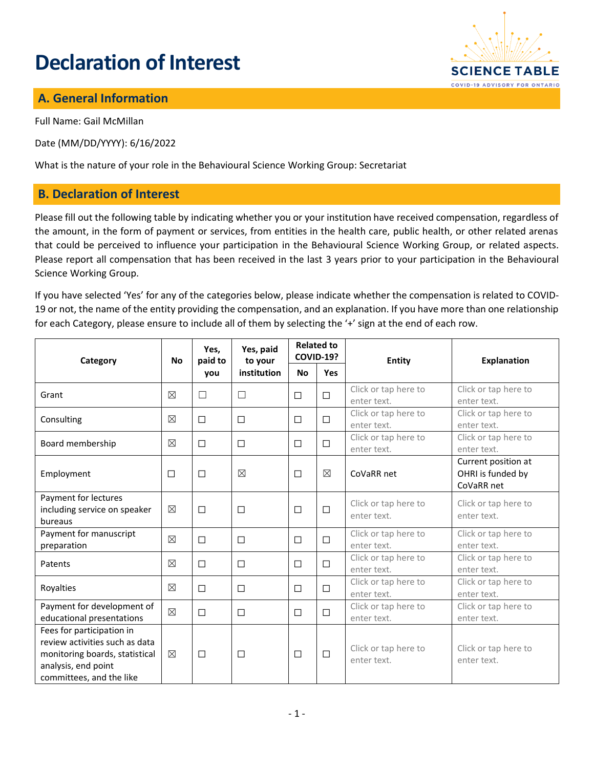# **Declaration of Interest**



## **A. General Information**

Full Name: Gail McMillan

Date (MM/DD/YYYY): 6/16/2022

What is the nature of your role in the Behavioural Science Working Group: Secretariat

### **B. Declaration of Interest**

Please fill out the following table by indicating whether you or your institution have received compensation, regardless of the amount, in the form of payment or services, from entities in the health care, public health, or other related arenas that could be perceived to influence your participation in the Behavioural Science Working Group, or related aspects. Please report all compensation that has been received in the last 3 years prior to your participation in the Behavioural Science Working Group.

If you have selected 'Yes' for any of the categories below, please indicate whether the compensation is related to COVID-19 or not, the name of the entity providing the compensation, and an explanation. If you have more than one relationship for each Category, please ensure to include all of them by selecting the '+' sign at the end of each row.

| Category                                                                                                                                         | <b>No</b>   | Yes,<br>paid to<br>you | Yes, paid<br>to your<br>institution | <b>Related to</b><br><b>COVID-19?</b> |             | Entity                              | <b>Explanation</b>                                     |
|--------------------------------------------------------------------------------------------------------------------------------------------------|-------------|------------------------|-------------------------------------|---------------------------------------|-------------|-------------------------------------|--------------------------------------------------------|
|                                                                                                                                                  |             |                        |                                     | <b>No</b>                             | <b>Yes</b>  |                                     |                                                        |
| Grant                                                                                                                                            | $\boxtimes$ | $\Box$                 | $\Box$                              | $\Box$                                | $\Box$      | Click or tap here to<br>enter text. | Click or tap here to<br>enter text.                    |
| Consulting                                                                                                                                       | ⊠           | □                      | $\Box$                              | $\Box$                                | $\Box$      | Click or tap here to<br>enter text. | Click or tap here to<br>enter text.                    |
| Board membership                                                                                                                                 | $\boxtimes$ | $\Box$                 | □                                   | $\Box$                                | $\Box$      | Click or tap here to<br>enter text. | Click or tap here to<br>enter text.                    |
| Employment                                                                                                                                       | $\Box$      | $\Box$                 | $\boxtimes$                         | $\Box$                                | $\boxtimes$ | CoVaRR net                          | Current position at<br>OHRI is funded by<br>CoVaRR net |
| Payment for lectures<br>including service on speaker<br>bureaus                                                                                  | $\boxtimes$ | $\Box$                 | $\Box$                              | $\Box$                                | $\Box$      | Click or tap here to<br>enter text. | Click or tap here to<br>enter text.                    |
| Payment for manuscript<br>preparation                                                                                                            | $\boxtimes$ | $\Box$                 | □                                   | $\Box$                                | $\Box$      | Click or tap here to<br>enter text. | Click or tap here to<br>enter text.                    |
| Patents                                                                                                                                          | ⊠           | $\Box$                 | $\Box$                              | $\Box$                                | $\Box$      | Click or tap here to<br>enter text. | Click or tap here to<br>enter text.                    |
| Royalties                                                                                                                                        | $\boxtimes$ | $\Box$                 | $\Box$                              | $\Box$                                | $\Box$      | Click or tap here to<br>enter text. | Click or tap here to<br>enter text.                    |
| Payment for development of<br>educational presentations                                                                                          | $\boxtimes$ | $\Box$                 | $\Box$                              | $\Box$                                | $\Box$      | Click or tap here to<br>enter text. | Click or tap here to<br>enter text.                    |
| Fees for participation in<br>review activities such as data<br>monitoring boards, statistical<br>analysis, end point<br>committees, and the like | $\boxtimes$ | $\Box$                 | □                                   | $\Box$                                | $\Box$      | Click or tap here to<br>enter text. | Click or tap here to<br>enter text.                    |